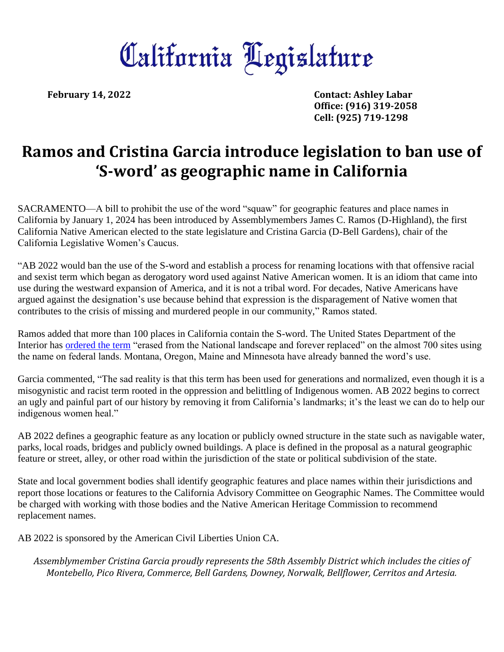## California Hegislature

**February 14, 2022 Contact: Ashley Labar Office: (916) 319-2058 Cell: (925) 719-1298**

## **Ramos and Cristina Garcia introduce legislation to ban use of 'S-word' as geographic name in California**

SACRAMENTO—A bill to prohibit the use of the word "squaw" for geographic features and place names in California by January 1, 2024 has been introduced by Assemblymembers James C. Ramos (D-Highland), the first California Native American elected to the state legislature and Cristina Garcia (D-Bell Gardens), chair of the California Legislative Women's Caucus.

"AB 2022 would ban the use of the S-word and establish a process for renaming locations with that offensive racial and sexist term which began as derogatory word used against Native American women. It is an idiom that came into use during the westward expansion of America, and it is not a tribal word. For decades, Native Americans have argued against the designation's use because behind that expression is the disparagement of Native women that contributes to the crisis of missing and murdered people in our community," Ramos stated.

Ramos added that more than 100 places in California contain the S-word. The United States Department of the Interior has [ordered the term](https://www.doi.gov/pressreleases/secretary-haaland-takes-action-remove-derogatory-names-federal-lands) "erased from the National landscape and forever replaced" on the almost 700 sites using the name on federal lands. Montana, Oregon, Maine and Minnesota have already banned the word's use.

Garcia commented, "The sad reality is that this term has been used for generations and normalized, even though it is a misogynistic and racist term rooted in the oppression and belittling of Indigenous women. AB 2022 begins to correct an ugly and painful part of our history by removing it from California's landmarks; it's the least we can do to help our indigenous women heal."

AB 2022 defines a geographic feature as any location or publicly owned structure in the state such as navigable water, parks, local roads, bridges and publicly owned buildings. A place is defined in the proposal as a natural geographic feature or street, alley, or other road within the jurisdiction of the state or political subdivision of the state.

State and local government bodies shall identify geographic features and place names within their jurisdictions and report those locations or features to the California Advisory Committee on Geographic Names. The Committee would be charged with working with those bodies and the Native American Heritage Commission to recommend replacement names.

AB 2022 is sponsored by the American Civil Liberties Union CA.

*Assemblymember Cristina Garcia proudly represents the 58th Assembly District which includes the cities of Montebello, Pico Rivera, Commerce, Bell Gardens, Downey, Norwalk, Bellflower, Cerritos and Artesia.*